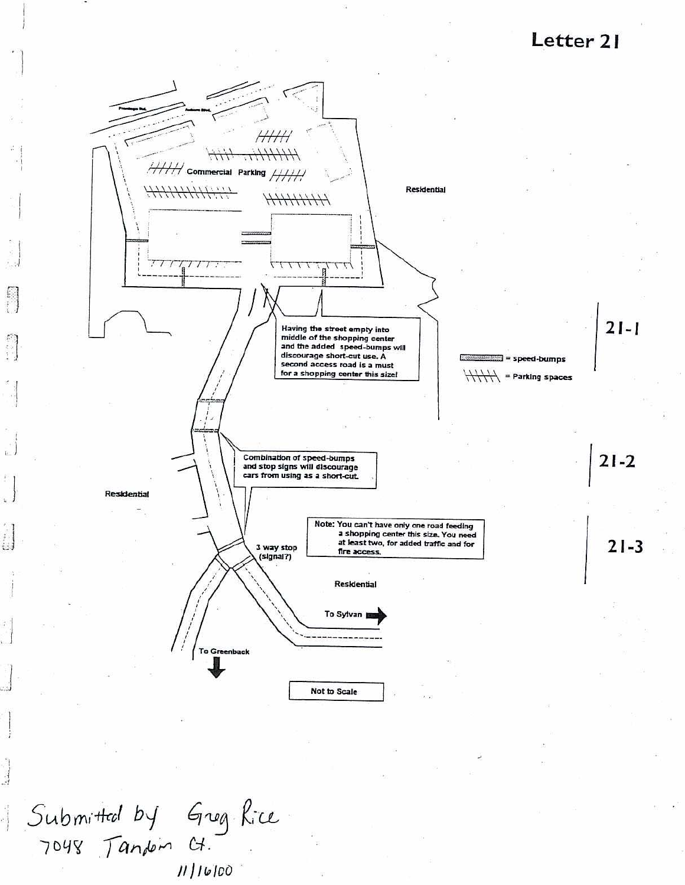Letter 21



Submitted by Greg Rice<br>7048 Tandon Ct.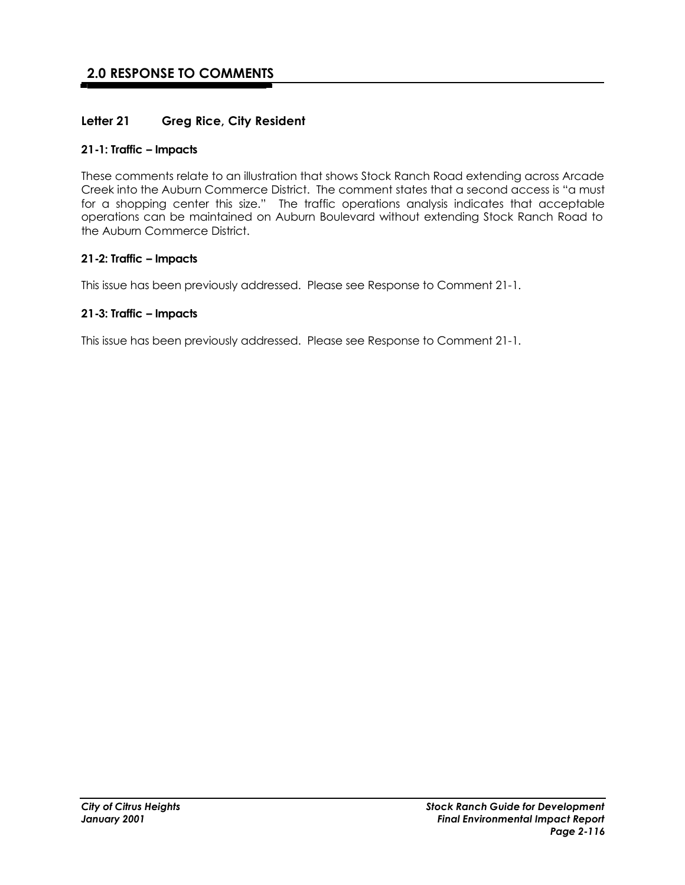## **2.0 RESPONSE TO COMMENTS**

#### **Letter 21 Greg Rice, City Resident**

#### **21-1: Traffic – Impacts**

These comments relate to an illustration that shows Stock Ranch Road extending across Arcade Creek into the Auburn Commerce District. The comment states that a second access is "a must for a shopping center this size." The traffic operations analysis indicates that acceptable operations can be maintained on Auburn Boulevard without extending Stock Ranch Road to the Auburn Commerce District.

#### **21-2: Traffic – Impacts**

This issue has been previously addressed. Please see Response to Comment 21-1.

#### **21-3: Traffic – Impacts**

This issue has been previously addressed. Please see Response to Comment 21-1.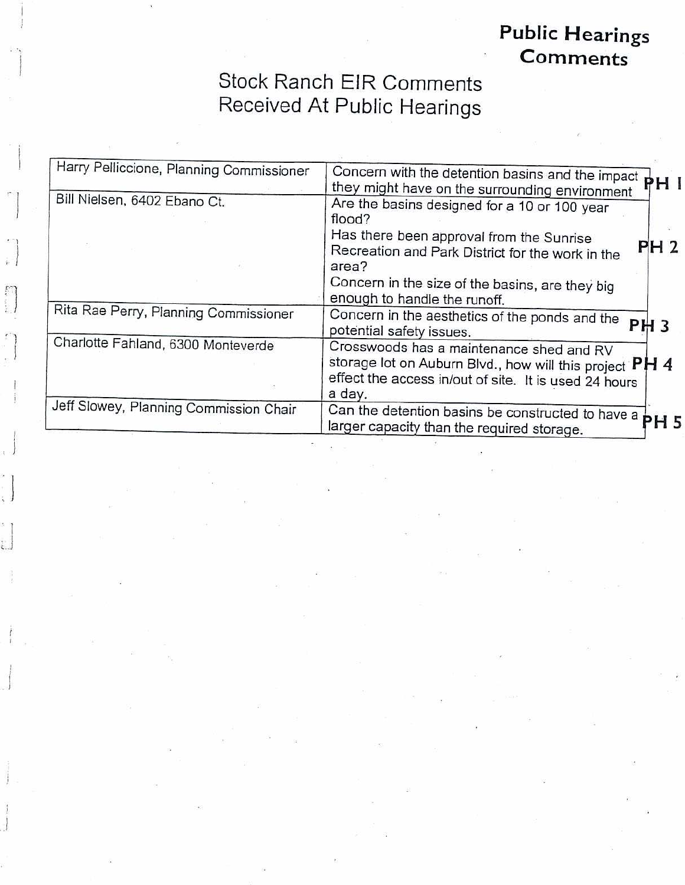## **Public Hearings** Comments<sup>®</sup>

# **Stock Ranch EIR Comments** Received At Public Hearings

| Harry Pelliccione, Planning Commissioner | Concern with the detention basins and the impact PH I<br>they might have on the surrounding environment                                                                        |
|------------------------------------------|--------------------------------------------------------------------------------------------------------------------------------------------------------------------------------|
| Bill Nielsen, 6402 Ebano Ct.             | Are the basins designed for a 10 or 100 year<br>flood?<br>Has there been approval from the Sunrise<br><b>PH 2</b><br>Recreation and Park District for the work in the<br>area? |
|                                          | Concern in the size of the basins, are they big<br>enough to handle the runoff.                                                                                                |
| Rita Rae Perry, Planning Commissioner    | Concern in the aesthetics of the ponds and the<br><b>PH3</b><br>potential safety issues.                                                                                       |
| Charlotte Fahland, 6300 Monteverde       | Crosswoods has a maintenance shed and RV<br>storage lot on Auburn Blvd., how will this project PH 4<br>effect the access in/out of site. It is used 24 hours<br>a day.         |
| Jeff Slowey, Planning Commission Chair   | Can the detention basins be constructed to have a<br><b>PH 5</b><br>larger capacity than the required storage.                                                                 |

en<br>Si

i.<br>E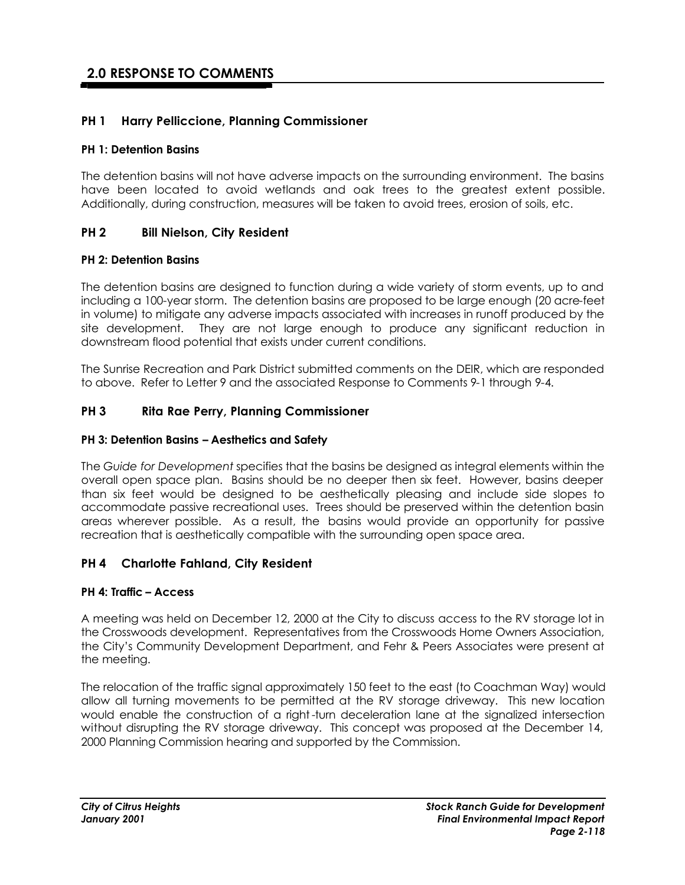## **2.0 RESPONSE TO COMMENTS**

#### **PH 1 Harry Pelliccione, Planning Commissioner**

#### **PH 1: Detention Basins**

The detention basins will not have adverse impacts on the surrounding environment. The basins have been located to avoid wetlands and oak trees to the greatest extent possible. Additionally, during construction, measures will be taken to avoid trees, erosion of soils, etc.

#### **PH 2 Bill Nielson, City Resident**

#### **PH 2: Detention Basins**

The detention basins are designed to function during a wide variety of storm events, up to and including a 100-year storm. The detention basins are proposed to be large enough (20 acre-feet in volume) to mitigate any adverse impacts associated with increases in runoff produced by the site development. They are not large enough to produce any significant reduction in downstream flood potential that exists under current conditions.

The Sunrise Recreation and Park District submitted comments on the DEIR, which are responded to above. Refer to Letter 9 and the associated Response to Comments 9-1 through 9-4.

#### **PH 3 Rita Rae Perry, Planning Commissioner**

#### **PH 3: Detention Basins – Aesthetics and Safety**

The *Guide for Development* specifies that the basins be designed as integral elements within the overall open space plan. Basins should be no deeper then six feet. However, basins deeper than six feet would be designed to be aesthetically pleasing and include side slopes to accommodate passive recreational uses. Trees should be preserved within the detention basin areas wherever possible. As a result, the basins would provide an opportunity for passive recreation that is aesthetically compatible with the surrounding open space area.

#### **PH 4 Charlotte Fahland, City Resident**

#### **PH 4: Traffic – Access**

A meeting was held on December 12, 2000 at the City to discuss access to the RV storage lot in the Crosswoods development. Representatives from the Crosswoods Home Owners Association, the City's Community Development Department, and Fehr & Peers Associates were present at the meeting.

The relocation of the traffic signal approximately 150 feet to the east (to Coachman Way) would allow all turning movements to be permitted at the RV storage driveway. This new location would enable the construction of a right -turn deceleration lane at the signalized intersection without disrupting the RV storage driveway. This concept was proposed at the December 14, 2000 Planning Commission hearing and supported by the Commission.